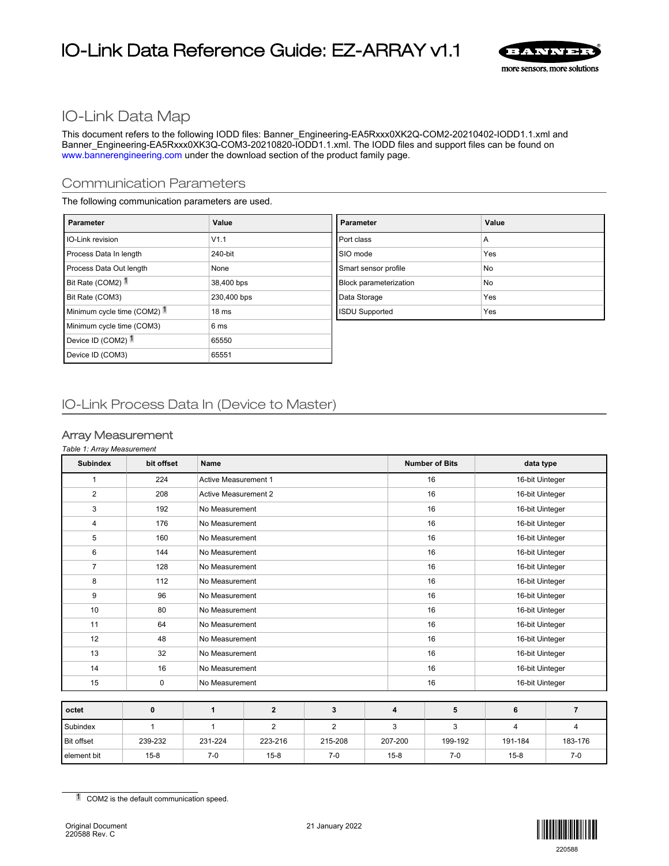# IO-Link Data Reference Guide: EZ-ARRAY v1.1



## IO-Link Data Map

This document refers to the following IODD files: Banner\_Engineering-EA5Rxxx0XK2Q-COM2-20210402-IODD1.1.xml and Banner\_Engineering-EA5Rxxx0XK3Q-COM3-20210820-IODD1.1.xml. The IODD files and support files can be found on [www.bannerengineering.com](http://www.bannerengineering.com) under the download section of the product family page.

#### Communication Parameters

The following communication parameters are used.

| <b>Parameter</b>              | Value            | <b>Parameter</b>              | Value |
|-------------------------------|------------------|-------------------------------|-------|
| <b>I</b> IO-Link revision     | V1.1             | Port class                    | A     |
| Process Data In length        | 240-bit          | SIO mode                      | Yes   |
| Process Data Out length       | None             | Smart sensor profile          | No    |
| Bit Rate (COM2) <sup>1</sup>  | 38,400 bps       | <b>Block parameterization</b> | No    |
| Bit Rate (COM3)               | 230,400 bps      | Data Storage                  | Yes   |
| Minimum cycle time (COM2) 1   | 18 <sub>ms</sub> | <b>ISDU Supported</b>         | Yes   |
| Minimum cycle time (COM3)     | 6 <sub>ms</sub>  |                               |       |
| Device ID (COM2) <sup>1</sup> | 65550            |                               |       |
| Device ID (COM3)              | 65551            |                               |       |

#### IO-Link Process Data In (Device to Master)

#### Array Measurement

#### *Table 1: Array Measurement*

| <b>Subindex</b>   | bit offset | <b>Name</b>                 |                |                |  |         | <b>Number of Bits</b> | data type           |         |  |
|-------------------|------------|-----------------------------|----------------|----------------|--|---------|-----------------------|---------------------|---------|--|
| 1                 | 224        | <b>Active Measurement 1</b> |                |                |  |         | 16                    | 16-bit Uinteger     |         |  |
| $\overline{2}$    | 208        | <b>Active Measurement 2</b> |                |                |  |         | 16                    | 16-bit Uinteger     |         |  |
| 3                 | 192        | No Measurement              |                |                |  |         | 16                    | 16-bit Uinteger     |         |  |
| 4                 | 176        | No Measurement              |                |                |  |         | 16                    | 16-bit Uinteger     |         |  |
| 5                 | 160        |                             | No Measurement |                |  |         | 16                    | 16-bit Uinteger     |         |  |
| 6                 | 144        |                             | No Measurement |                |  |         | 16                    | 16-bit Uinteger     |         |  |
| $\overline{7}$    | 128        |                             | No Measurement |                |  |         | 16                    | 16-bit Uinteger     |         |  |
| 8                 | 112        |                             | No Measurement |                |  |         | 16                    | 16-bit Uinteger     |         |  |
| 9                 | 96         |                             | No Measurement |                |  |         | 16                    | 16-bit Uinteger     |         |  |
| 10                | 80         | No Measurement              |                |                |  |         | 16                    | 16-bit Uinteger     |         |  |
| 11                | 64         | No Measurement              |                |                |  |         | 16                    | 16-bit Uinteger     |         |  |
| 12                | 48         | No Measurement              |                |                |  | 16      |                       | 16-bit Uinteger     |         |  |
| 13                | 32         | No Measurement              |                |                |  |         | 16                    | 16-bit Uinteger     |         |  |
| 14                | 16         | No Measurement              |                |                |  |         | 16                    | 16-bit Uinteger     |         |  |
| 15                | 0          | No Measurement              |                |                |  |         | 16                    | 16-bit Uinteger     |         |  |
|                   |            |                             |                |                |  |         |                       |                     |         |  |
| octet             | 0          | 1                           | $\overline{2}$ | 3              |  | 4       | 5                     | 6<br>$\overline{7}$ |         |  |
| Subindex          | 1          | $\mathbf{1}$                | $\overline{2}$ | $\overline{2}$ |  | 3       | 3                     | $\overline{4}$      | 4       |  |
| <b>Bit offset</b> | 239-232    | 231-224                     | 223-216        | 215-208        |  | 207-200 | 199-192               | 191-184             | 183-176 |  |

element bit | 15-8 | 7-0 | 15-8 | 7-0 | 15-8 | 7-0 | 15-8 | 7-0



<sup>1</sup> COM2 is the default communication speed.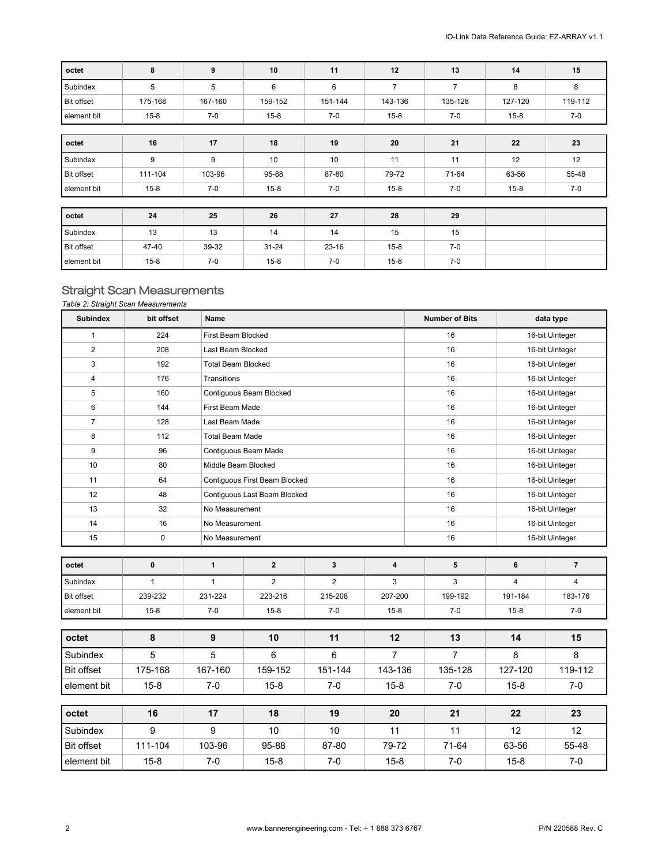| octet             | 8        | 9       | 10        | 11        | 12       | 13             | 14       | 15      |
|-------------------|----------|---------|-----------|-----------|----------|----------------|----------|---------|
| Subindex          | 5        | 5       | 6         | 6         | 7        | $\overline{7}$ | 8        | 8       |
| <b>Bit offset</b> | 175-168  | 167-160 | 159-152   | 151-144   | 143-136  | 135-128        | 127-120  | 119-112 |
| element bit       | $15 - 8$ | $7-0$   | $15 - 8$  | $7-0$     | $15 - 8$ | 7-0            | $15 - 8$ | 7-0     |
|                   |          |         |           |           |          |                |          |         |
| octet             | 16       | 17      | 18        | 19        | 20       | 21             | 22       | 23      |
| Subindex          | 9        | 9       | 10        | 10        | 11       | 11             | 12       | 12      |
| <b>Bit offset</b> | 111-104  | 103-96  | 95-88     | 87-80     | 79-72    | 71-64          | 63-56    | 55-48   |
| element bit       | $15 - 8$ | $7-0$   | $15 - 8$  | $7 - 0$   | $15 - 8$ | 7-0            | $15 - 8$ | $7-0$   |
|                   |          |         |           |           |          |                |          |         |
| octet             | 24       | 25      | 26        | 27        | 28       | 29             |          |         |
| Subindex          | 13       | 13      | 14        | 14        | 15       | 15             |          |         |
| <b>Bit offset</b> | 47-40    | 39-32   | $31 - 24$ | $23 - 16$ | $15 - 8$ | $7-0$          |          |         |
| element bit       | $15 - 8$ | 7-0     | $15 - 8$  | $7-0$     | $15 - 8$ | $7-0$          |          |         |

## Straight Scan Measurements

*Table 2: Straight Scan Measurements*

| <b>Subindex</b>   | bit offset   | <b>Name</b>               |                               |                |                |    | <b>Number of Bits</b> |                | data type       |
|-------------------|--------------|---------------------------|-------------------------------|----------------|----------------|----|-----------------------|----------------|-----------------|
| $\mathbf{1}$      | 224          | First Beam Blocked        |                               |                |                |    | 16                    |                | 16-bit Uinteger |
| $\overline{2}$    | 208          | Last Beam Blocked         |                               |                |                |    | 16                    |                | 16-bit Uinteger |
| 3                 | 192          | <b>Total Beam Blocked</b> |                               |                |                |    | 16                    |                | 16-bit Uinteger |
| 4                 | 176          | Transitions               |                               |                |                |    | 16                    |                | 16-bit Uinteger |
| 5                 | 160          |                           | Contiguous Beam Blocked       |                |                | 16 |                       |                | 16-bit Uinteger |
| 6                 | 144          | First Beam Made           |                               |                |                |    | 16                    |                | 16-bit Uinteger |
| $\overline{7}$    | 128          | Last Beam Made            |                               |                |                |    | 16                    |                | 16-bit Uinteger |
| 8                 | 112          | <b>Total Beam Made</b>    |                               |                |                |    | 16                    |                | 16-bit Uinteger |
| 9                 | 96           |                           | Contiguous Beam Made          |                |                |    | 16                    |                | 16-bit Uinteger |
| 10                | 80           | Middle Beam Blocked       |                               |                |                |    | 16                    |                | 16-bit Uinteger |
| 11                | 64           |                           | Contiguous First Beam Blocked |                |                |    | 16                    |                | 16-bit Uinteger |
| 12                | 48           |                           | Contiguous Last Beam Blocked  |                |                |    | 16                    |                | 16-bit Uinteger |
| 13                | 32           | No Measurement            |                               |                |                | 16 |                       |                | 16-bit Uinteger |
| 14                | 16           |                           | No Measurement                |                |                |    | 16                    |                | 16-bit Uinteger |
| 15                | 0            | No Measurement            |                               |                |                |    | 16                    |                | 16-bit Uinteger |
| octet             | $\mathbf 0$  | $\mathbf{1}$              | $\overline{2}$                | $\mathbf{3}$   | 4              |    | 5                     | 6              | $\overline{7}$  |
|                   |              |                           |                               |                |                |    |                       |                |                 |
| Subindex          | $\mathbf{1}$ | $\mathbf{1}$              | $\overline{2}$                | $\overline{2}$ | 3              |    | 3                     | $\overline{4}$ | $\overline{4}$  |
| Bit offset        | 239-232      | 231-224                   | 223-216                       | 215-208        | 207-200        |    | 199-192               | 191-184        | 183-176         |
| element bit       | $15 - 8$     | $7-0$                     | $15 - 8$                      | $7 - 0$        | $15 - 8$       |    | $7-0$                 | $15 - 8$       | $7-0$           |
| octet             | 8            | $\boldsymbol{9}$          | 10                            | 11             | 12             |    | 13                    | 14             | 15              |
| Subindex          | 5            | 5                         | 6                             | $6\phantom{a}$ | $\overline{7}$ |    | $\overline{7}$        | 8              | 8               |
| <b>Bit offset</b> | 175-168      | 167-160                   | 159-152                       | 151-144        | 143-136        |    | 135-128               | 127-120        | 119-112         |
| element bit       | $15 - 8$     | $7-0$                     | $15 - 8$                      | $7-0$          | $15 - 8$       |    | $7-0$                 | $15 - 8$       | $7-0$           |
|                   |              |                           |                               |                |                |    |                       |                |                 |
| octet             | 16           | 17                        | 18                            | 19             | 20             |    | 21                    | 22             | 23              |
| Subindex          | 9            | 9                         | 10                            | 10             | 11             |    | 11                    | 12             | 12              |
| <b>Bit offset</b> | 111-104      | 103-96                    | 95-88                         | 87-80          | 79-72          |    | 71-64                 | 63-56          | 55-48           |
| element bit       | $15 - 8$     | $7-0$                     | $15 - 8$                      | $7-0$          | $15 - 8$       |    | $7-0$                 | $15 - 8$       | $7-0$           |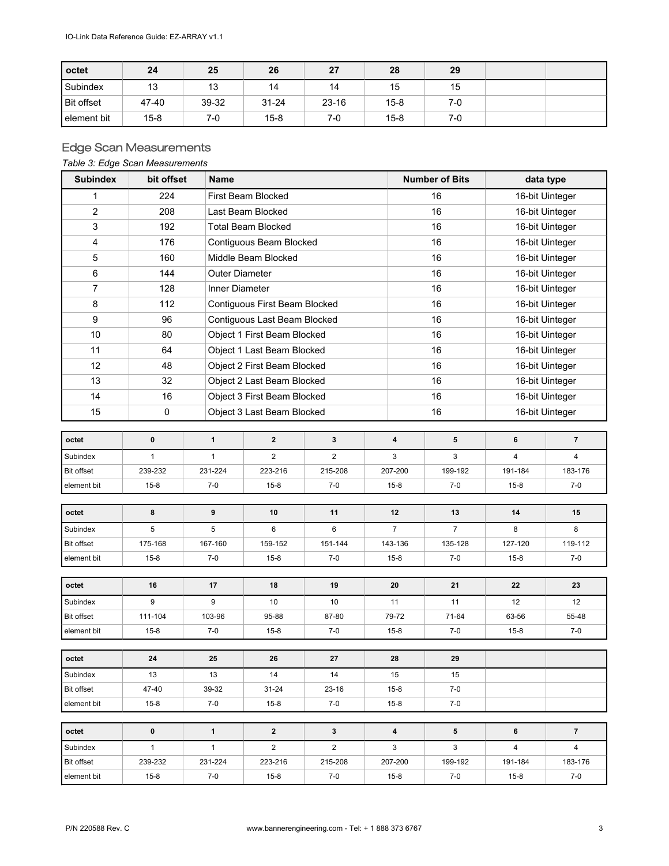| octet           | 24       | 25    | 26        | 27        | 28       | 29    |  |
|-----------------|----------|-------|-----------|-----------|----------|-------|--|
| <b>Subindex</b> | 13       | 13    | 14        | 14        | 15       | 15    |  |
| Bit offset      | 47-40    | 39-32 | $31 - 24$ | $23 - 16$ | $15 - 8$ | $7-0$ |  |
| l element bit   | $15 - 8$ | 7-0   | $15 - 8$  | 7-0       | $15-8$   | $7-0$ |  |

## Edge Scan Measurements

#### *Table 3: Edge Scan Measurements*

| <b>Subindex</b>   | bit offset   | <b>Name</b>           |                                |                |  | <b>Number of Bits</b> |                | data type               |                         |  |
|-------------------|--------------|-----------------------|--------------------------------|----------------|--|-----------------------|----------------|-------------------------|-------------------------|--|
| 1                 | 224          |                       | First Beam Blocked             |                |  |                       | 16             |                         | 16-bit Uinteger         |  |
| $\overline{2}$    | 208          |                       | Last Beam Blocked              |                |  |                       | 16             |                         | 16-bit Uinteger         |  |
| 3                 | 192          |                       | <b>Total Beam Blocked</b>      |                |  |                       | 16             | 16-bit Uinteger         |                         |  |
| 4                 | 176          |                       | Contiguous Beam Blocked        |                |  |                       | 16             | 16-bit Uinteger         |                         |  |
| 5                 | 160          |                       | Middle Beam Blocked            |                |  |                       | 16             | 16-bit Uinteger         |                         |  |
| 6                 | 144          | <b>Outer Diameter</b> |                                |                |  |                       | 16             | 16-bit Uinteger         |                         |  |
| 7                 | 128          | Inner Diameter        |                                |                |  | 16                    |                |                         | 16-bit Uinteger         |  |
| 8                 | 112          |                       | Contiguous First Beam Blocked  |                |  |                       | 16             | 16-bit Uinteger         |                         |  |
| 9                 | 96           |                       | Contiguous Last Beam Blocked   |                |  |                       | 16             |                         | 16-bit Uinteger         |  |
| 10                | 80           |                       | Object 1 First Beam Blocked    |                |  |                       | 16             | 16-bit Uinteger         |                         |  |
| 11                | 64           |                       | Object 1 Last Beam Blocked     |                |  |                       | 16             |                         | 16-bit Uinteger         |  |
| 12                | 48           |                       | Object 2 First Beam Blocked    |                |  |                       | 16             |                         | 16-bit Uinteger         |  |
| 13                | 32           |                       | Object 2 Last Beam Blocked     |                |  |                       | 16             | 16-bit Uinteger         |                         |  |
| 14                | 16           |                       | Object 3 First Beam Blocked    |                |  |                       | 16             |                         | 16-bit Uinteger         |  |
| 15                | $\pmb{0}$    |                       | Object 3 Last Beam Blocked     |                |  |                       | 16             | 16-bit Uinteger         |                         |  |
|                   |              |                       |                                |                |  |                       |                |                         |                         |  |
| octet             | $\mathbf 0$  | $\mathbf{1}$          | $\overline{2}$<br>$\mathbf{3}$ |                |  |                       | 5              | 6                       | $\overline{7}$          |  |
| Subindex          | $\mathbf{1}$ | $\mathbf{1}$          | $\overline{2}$                 | $\overline{2}$ |  | 3                     | 3              | $\overline{\mathbf{4}}$ | $\overline{\mathbf{4}}$ |  |
| Bit offset        | 239-232      | 231-224               | 223-216                        | 215-208        |  | 207-200               | 199-192        | 191-184                 | 183-176                 |  |
| element bit       | $15 - 8$     | $7 - 0$               | $15 - 8$                       | $7-0$          |  | $15 - 8$              | $7-0$          | $15 - 8$                | $7-0$                   |  |
| octet             | 8            | 9                     | 10                             | 11             |  | 12                    | 13             | 14                      | 15                      |  |
| Subindex          | 5            | 5                     | 6                              | 6              |  | $\overline{7}$        | $\overline{7}$ | 8                       | 8                       |  |
| <b>Bit offset</b> | 175-168      | 167-160               | 159-152                        | 151-144        |  | 143-136               | 135-128        | 127-120                 | 119-112                 |  |
| element bit       | $15 - 8$     | $7-0$                 | $15 - 8$                       | $7-0$          |  | $15 - 8$              | $7-0$          | $15 - 8$                | $7-0$                   |  |
|                   |              |                       |                                |                |  |                       |                |                         |                         |  |
| octet             | 16           | 17                    | 18                             | 19             |  | 20                    | 21             | 22                      | 23                      |  |
| Subindex          | 9            | 9                     | 10                             | 10             |  | 11                    | 11             | 12                      | 12                      |  |
| Bit offset        | 111-104      | 103-96                | 95-88                          | 87-80          |  | 79-72                 | 71-64          | 63-56                   | 55-48                   |  |
| element bit       | $15 - 8$     | $7-0$                 | $15 - 8$                       | $7 - 0$        |  | $15 - 8$              | 7-0            | $15-8$                  | 7-0                     |  |
| octet             | 24           | 25                    | 26                             | 27             |  | 28                    | 29             |                         |                         |  |
| Subindex          | 13           | 13                    | 14                             | 14             |  | 15                    | 15             |                         |                         |  |
| Bit offset        | 47-40        | 39-32                 | 31-24                          | 23-16          |  | $15-8$                | 7-0            |                         |                         |  |
| element bit       | $15-8$       | 7-0                   | 15-8                           | 7-0            |  | $15-8$                | 7-0            |                         |                         |  |
|                   |              |                       |                                |                |  |                       |                |                         |                         |  |
| octet             | 0            | $\mathbf{1}$          | $\overline{2}$                 | 3              |  | 4                     | 5              | 6                       | $\overline{7}$          |  |
| Subindex          | $\mathbf{1}$ | 1                     | $\overline{2}$                 | $\overline{2}$ |  | 3                     | 3              | 4                       | 4                       |  |
| Bit offset        | 239-232      | 231-224               | 223-216                        | 215-208        |  | 207-200               | 199-192        | 191-184                 | 183-176                 |  |
| element bit       | $15 - 8$     | 7-0                   | $15 - 8$                       | 7-0            |  | $15 - 8$              | 7-0            | $15-8$                  | 7-0                     |  |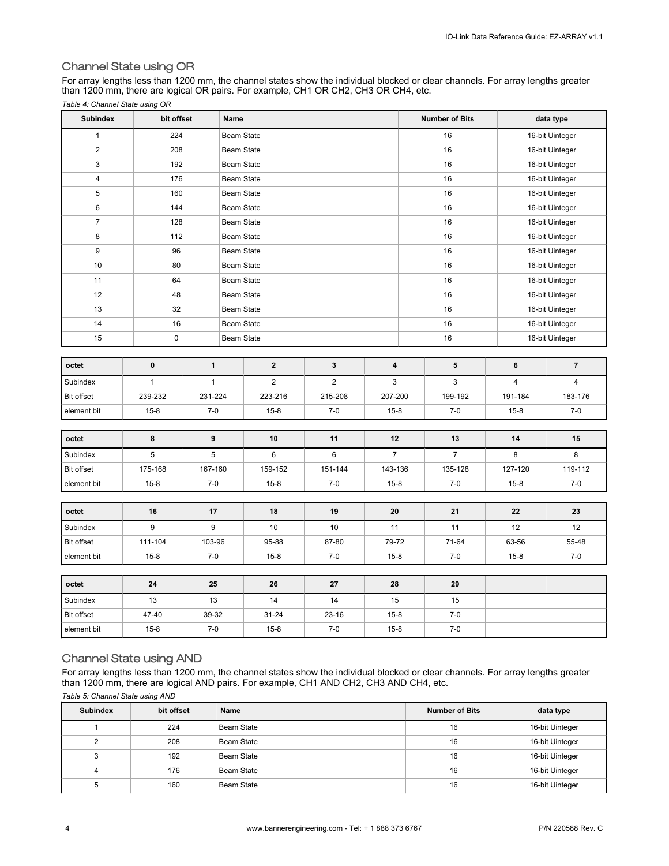#### Channel State using OR

For array lengths less than 1200 mm, the channel states show the individual blocked or clear channels. For array lengths greater than 1200 mm, there are logical OR pairs. For example, CH1 OR CH2, CH3 OR CH4, etc. *Table 4: Channel State using OR*

| <b>Subindex</b>   | bit offset   |              | Name              |             |                |    | <b>Number of Bits</b> |                         | data type       |  |
|-------------------|--------------|--------------|-------------------|-------------|----------------|----|-----------------------|-------------------------|-----------------|--|
| $\mathbf{1}$      | 224          |              | <b>Beam State</b> |             |                |    | 16                    |                         | 16-bit Uinteger |  |
| $\overline{2}$    | 208          |              | <b>Beam State</b> |             |                |    | 16                    |                         | 16-bit Uinteger |  |
| 3                 | 192          |              | <b>Beam State</b> |             |                |    | 16                    |                         | 16-bit Uinteger |  |
| $\overline{4}$    | 176          |              | Beam State        |             |                |    | 16                    |                         | 16-bit Uinteger |  |
| 5                 | 160          |              | <b>Beam State</b> |             |                |    | 16                    |                         | 16-bit Uinteger |  |
| 6                 | 144          |              | <b>Beam State</b> |             |                |    | 16                    |                         | 16-bit Uinteger |  |
| $\overline{7}$    | 128          |              | <b>Beam State</b> |             |                |    | 16                    |                         | 16-bit Uinteger |  |
| 8                 | 112          |              | Beam State        |             |                | 16 |                       |                         | 16-bit Uinteger |  |
| 9                 | 96           |              | Beam State        |             |                |    | 16                    |                         | 16-bit Uinteger |  |
| 10                | 80           |              | Beam State        |             |                |    | 16                    |                         | 16-bit Uinteger |  |
| 11                | 64           |              | <b>Beam State</b> |             |                |    | 16                    |                         | 16-bit Uinteger |  |
| 12                | 48           |              | <b>Beam State</b> |             |                |    | 16                    |                         | 16-bit Uinteger |  |
| 13                | 32           |              | Beam State        |             |                |    | 16                    |                         | 16-bit Uinteger |  |
| 14                | 16           |              | <b>Beam State</b> |             |                |    | 16                    |                         | 16-bit Uinteger |  |
| 15                | $\mathbf 0$  |              | <b>Beam State</b> |             |                |    | 16                    |                         | 16-bit Uinteger |  |
|                   |              |              |                   |             |                |    |                       |                         |                 |  |
| octet             | 0            | $\mathbf{1}$ | $\bf{2}$          | $\mathbf 3$ | 4              |    | 5                     | 6                       | $\overline{7}$  |  |
| Subindex          | $\mathbf{1}$ | $\mathbf{1}$ | $\mathbf 2$       | $\mathbf 2$ | 3              |    | 3                     | $\overline{\mathbf{4}}$ | $\overline{4}$  |  |
| Bit offset        | 239-232      | 231-224      | 223-216           | 215-208     | 207-200        |    | 199-192               | 191-184                 | 183-176         |  |
| element bit       | $15 - 8$     | $7 - 0$      | $15 - 8$          | $7 - 0$     | $15 - 8$       |    | $7-0$                 | $15 - 8$                | $7-0$           |  |
|                   |              |              |                   |             |                |    |                       |                         |                 |  |
| octet             | 8            | 9            | 10                | 11          | 12             |    | 13                    | 14                      | 15              |  |
| Subindex          | 5            | 5            | 6                 | 6           | $\overline{7}$ |    | $\overline{7}$        | 8                       | 8               |  |
| <b>Bit offset</b> | 175-168      | 167-160      | 159-152           | 151-144     | 143-136        |    | 135-128               | 127-120                 | 119-112         |  |
| element bit       | $15 - 8$     | $7-0$        | $15 - 8$          | $7-0$       | $15 - 8$       |    | $7-0$                 | $15 - 8$                | $7 - 0$         |  |
|                   |              |              |                   |             |                |    |                       |                         |                 |  |
| octet             | 16           | 17           | 18                | 19          | 20             |    | 21                    | 22                      | 23              |  |
| Subindex          | 9            | 9            | 10                | 10          | 11             |    | 11                    | 12                      | 12              |  |
| <b>Bit offset</b> | 111-104      | 103-96       | 95-88             | 87-80       | 79-72          |    | 71-64                 | 63-56                   | 55-48           |  |
| element bit       | $15 - 8$     | $7-0$        | $15 - 8$          | $7 - 0$     | $15 - 8$       |    | $7-0$                 | $15 - 8$                | $7-0$           |  |
|                   |              |              |                   |             |                |    |                       |                         |                 |  |
| octet             | 24           | 25           | 26                | 27          | 28             |    | 29                    |                         |                 |  |
| Subindex          | 13           | 13           | 14                | 14          | 15             |    | 15                    |                         |                 |  |
|                   |              |              |                   |             |                |    |                       |                         |                 |  |

#### Channel State using AND

For array lengths less than 1200 mm, the channel states show the individual blocked or clear channels. For array lengths greater than 1200 mm, there are logical AND pairs. For example, CH1 AND CH2, CH3 AND CH4, etc.

Bit offset | 47-40 | 39-32 | 31-24 | 23-16 | 15-8 | 7-0 element bit 15-8 7-0 15-8 7-0 15-8 7-0

*Table 5: Channel State using AND*

| <b>Subindex</b> | bit offset | Name       | <b>Number of Bits</b> | data type       |
|-----------------|------------|------------|-----------------------|-----------------|
|                 | 224        | Beam State | 16                    | 16-bit Uinteger |
| 2               | 208        | Beam State | 16                    | 16-bit Uinteger |
| 3               | 192        | Beam State | 16                    | 16-bit Uinteger |
| 4               | 176        | Beam State | 16                    | 16-bit Uinteger |
| 5               | 160        | Beam State | 16                    | 16-bit Uinteger |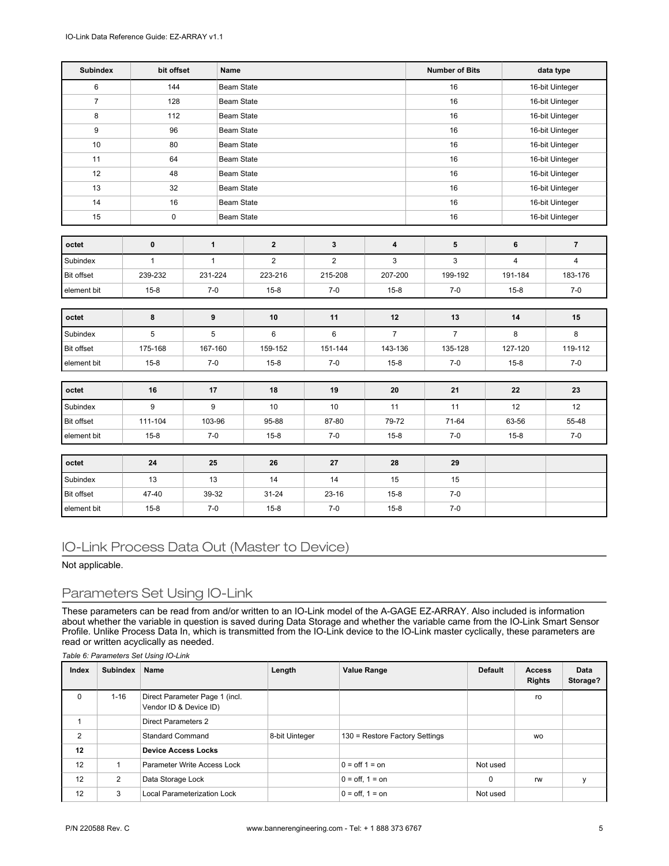| <b>Subindex</b>   | bit offset   |              | Name              |                   |              |                | <b>Number of Bits</b> |                         | data type               |  |
|-------------------|--------------|--------------|-------------------|-------------------|--------------|----------------|-----------------------|-------------------------|-------------------------|--|
| 6                 | 144          |              | <b>Beam State</b> |                   |              |                | 16                    |                         | 16-bit Uinteger         |  |
| $\overline{7}$    | 128          |              | <b>Beam State</b> |                   |              |                | 16                    |                         | 16-bit Uinteger         |  |
| 8                 | 112          |              | Beam State        |                   |              |                | 16                    |                         | 16-bit Uinteger         |  |
| 9                 | 96           |              | <b>Beam State</b> |                   |              |                | 16                    |                         | 16-bit Uinteger         |  |
| 10                | 80           |              | <b>Beam State</b> |                   |              |                | 16                    |                         | 16-bit Uinteger         |  |
| 11                | 64           |              | Beam State        |                   |              |                | 16                    |                         | 16-bit Uinteger         |  |
| 12                | 48           |              | <b>Beam State</b> |                   |              |                | 16                    |                         | 16-bit Uinteger         |  |
| 13                | 32           |              | Beam State        |                   |              |                | 16                    |                         | 16-bit Uinteger         |  |
| 14                | 16           |              |                   | <b>Beam State</b> |              |                | 16                    |                         | 16-bit Uinteger         |  |
| 15                | 0            |              |                   | <b>Beam State</b> |              |                | 16                    |                         | 16-bit Uinteger         |  |
|                   |              |              |                   |                   |              |                |                       |                         |                         |  |
| octet             | $\pmb{0}$    | $\mathbf{1}$ |                   | $\bf{2}$          | $\mathbf{3}$ | 4              | 5                     | 6                       | $\overline{7}$          |  |
| Subindex          | $\mathbf{1}$ | $\mathbf{1}$ |                   | $\overline{2}$    | $\mathbf 2$  | $\mathsf 3$    | 3                     | $\overline{\mathbf{4}}$ | $\overline{\mathbf{4}}$ |  |
| Bit offset        | 239-232      | 231-224      |                   | 223-216           | 215-208      | 207-200        | 199-192               | 191-184                 | 183-176                 |  |
| element bit       | $15 - 8$     | $7 - 0$      |                   | $15 - 8$          | $7 - 0$      | $15 - 8$       | $7-0$                 | $15 - 8$                | $7-0$                   |  |
| octet             | 8            | 9            |                   | 10                | 11           | 12             | 13                    | 14                      | 15                      |  |
| Subindex          | 5            | $\,$ 5 $\,$  |                   | 6                 | $\,6\,$      | $\overline{7}$ | $\overline{7}$        | 8                       | 8                       |  |
| <b>Bit offset</b> | 175-168      | 167-160      |                   | 159-152           | 151-144      | 143-136        | 135-128               | 127-120                 | 119-112                 |  |
| element bit       | $15 - 8$     | $7 - 0$      |                   | $15 - 8$          | $7 - 0$      | $15 - 8$       | $7-0$                 | $15 - 8$                | $7-0$                   |  |
|                   |              |              |                   |                   |              |                |                       |                         |                         |  |
| octet             | 16           | 17           |                   | 18                | 19           | 20             | 21                    | 22                      | 23                      |  |
| Subindex          | 9            | 9            |                   | 10                | 10           | 11             | 11                    | 12                      | 12                      |  |
| Bit offset        | 111-104      | 103-96       |                   | 95-88             | 87-80        | 79-72          | 71-64                 | 63-56                   | 55-48                   |  |
| element bit       | $15 - 8$     | $7 - 0$      |                   | $15 - 8$          | $7 - 0$      | $15 - 8$       | $7-0$                 | $15 - 8$                | $7-0$                   |  |
|                   |              |              |                   |                   |              |                |                       |                         |                         |  |
| octet             | 24           | 25           |                   | 26                | 27           | 28             | 29                    |                         |                         |  |
| Subindex          | 13           | 13           |                   | 14                | 14           | 15             | 15                    |                         |                         |  |
| Bit offset        | 47-40        | 39-32        |                   | $31 - 24$         | $23 - 16$    | $15 - 8$       | $7 - 0$               |                         |                         |  |
| element bit       | $15 - 8$     | $7-0$        |                   | $15 - 8$          | $7 - 0$      | $15 - 8$       | $7-0$                 |                         |                         |  |

## IO-Link Process Data Out (Master to Device)

Not applicable.

## Parameters Set Using IO-Link

These parameters can be read from and/or written to an IO-Link model of the A-GAGE EZ-ARRAY. Also included is information about whether the variable in question is saved during Data Storage and whether the variable came from the IO-Link Smart Sensor Profile. Unlike Process Data In, which is transmitted from the IO-Link device to the IO-Link master cyclically, these parameters are read or written acyclically as needed.

*Table 6: Parameters Set Using IO-Link*

| Index          | <b>Subindex</b> | Name                                                     | Length         | <b>Value Range</b>               | <b>Default</b> | <b>Access</b><br><b>Rights</b> | Data<br>Storage? |
|----------------|-----------------|----------------------------------------------------------|----------------|----------------------------------|----------------|--------------------------------|------------------|
| 0              | $1 - 16$        | Direct Parameter Page 1 (incl.<br>Vendor ID & Device ID) |                |                                  |                | ro                             |                  |
|                |                 | Direct Parameters 2                                      |                |                                  |                |                                |                  |
| $\overline{2}$ |                 | <b>Standard Command</b>                                  | 8-bit Uinteger | 130 = Restore Factory Settings   |                | <b>WO</b>                      |                  |
| 12             |                 | <b>Device Access Locks</b>                               |                |                                  |                |                                |                  |
| 12             |                 | Parameter Write Access Lock                              |                | $0 = \text{off } 1 = \text{on}$  | Not used       |                                |                  |
| 12             | $\overline{2}$  | Data Storage Lock                                        |                | $0 = \text{off. } 1 = \text{on}$ | 0              | rw                             | ٧                |
| 12             | 3               | Local Parameterization Lock                              |                | $0 = \text{off. } 1 = \text{on}$ | Not used       |                                |                  |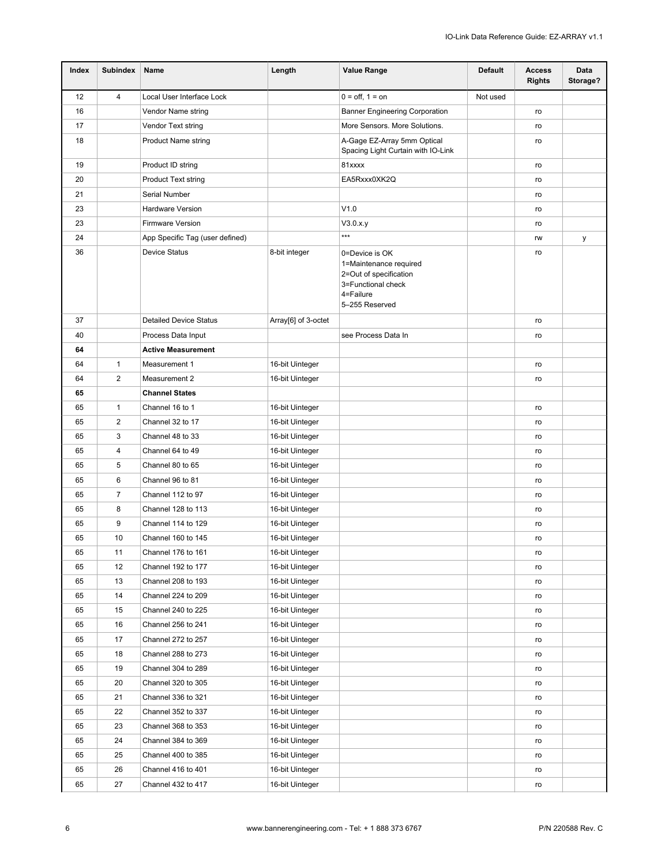| Index | <b>Subindex</b> | Name                            | Length              | <b>Value Range</b>                                                                                                      | <b>Default</b> | <b>Access</b><br><b>Rights</b> | Data<br>Storage? |
|-------|-----------------|---------------------------------|---------------------|-------------------------------------------------------------------------------------------------------------------------|----------------|--------------------------------|------------------|
| 12    | $\overline{4}$  | Local User Interface Lock       |                     | $0 =$ off, $1 =$ on                                                                                                     | Not used       |                                |                  |
| 16    |                 | Vendor Name string              |                     | <b>Banner Engineering Corporation</b>                                                                                   |                | ro                             |                  |
| 17    |                 | Vendor Text string              |                     | More Sensors. More Solutions.                                                                                           |                | ro                             |                  |
| 18    |                 | <b>Product Name string</b>      |                     | A-Gage EZ-Array 5mm Optical<br>Spacing Light Curtain with IO-Link                                                       |                | ro                             |                  |
| 19    |                 | Product ID string               |                     | 81xxxx                                                                                                                  |                | ro                             |                  |
| 20    |                 | <b>Product Text string</b>      |                     | EA5Rxxx0XK2Q                                                                                                            |                | ro                             |                  |
| 21    |                 | Serial Number                   |                     |                                                                                                                         |                | ro                             |                  |
| 23    |                 | <b>Hardware Version</b>         |                     | V1.0                                                                                                                    |                | ro                             |                  |
| 23    |                 | <b>Firmware Version</b>         |                     | V3.0.x.y                                                                                                                |                | ro                             |                  |
| 24    |                 | App Specific Tag (user defined) |                     | ***                                                                                                                     |                | rw                             | у                |
| 36    |                 | <b>Device Status</b>            | 8-bit integer       | 0=Device is OK<br>1=Maintenance required<br>2=Out of specification<br>3=Functional check<br>4=Failure<br>5-255 Reserved |                | ro                             |                  |
| 37    |                 | <b>Detailed Device Status</b>   | Array[6] of 3-octet |                                                                                                                         |                | ro                             |                  |
| 40    |                 | Process Data Input              |                     | see Process Data In                                                                                                     |                | ro                             |                  |
| 64    |                 | <b>Active Measurement</b>       |                     |                                                                                                                         |                |                                |                  |
| 64    | $\mathbf{1}$    | Measurement 1                   | 16-bit Uinteger     |                                                                                                                         |                | ro                             |                  |
| 64    | $\overline{2}$  | Measurement 2                   | 16-bit Uinteger     |                                                                                                                         |                | ro                             |                  |
| 65    |                 | <b>Channel States</b>           |                     |                                                                                                                         |                |                                |                  |
| 65    | $\mathbf{1}$    | Channel 16 to 1                 | 16-bit Uinteger     |                                                                                                                         |                | ro                             |                  |
| 65    | 2               | Channel 32 to 17                | 16-bit Uinteger     |                                                                                                                         |                | ro                             |                  |
| 65    | 3               | Channel 48 to 33                | 16-bit Uinteger     |                                                                                                                         |                | ro                             |                  |
| 65    | $\overline{4}$  | Channel 64 to 49                | 16-bit Uinteger     |                                                                                                                         |                | ro                             |                  |
| 65    | 5               | Channel 80 to 65                | 16-bit Uinteger     |                                                                                                                         |                | ro                             |                  |
| 65    | 6               | Channel 96 to 81                | 16-bit Uinteger     |                                                                                                                         |                | ro                             |                  |
| 65    | $\overline{7}$  | Channel 112 to 97               | 16-bit Uinteger     |                                                                                                                         |                | ro                             |                  |
| 65    | 8               | Channel 128 to 113              | 16-bit Uinteger     |                                                                                                                         |                | ro                             |                  |
| 65    | 9               | Channel 114 to 129              | 16-bit Uinteger     |                                                                                                                         |                | ro                             |                  |
| 65    | 10              | Channel 160 to 145              | 16-bit Uinteger     |                                                                                                                         |                | ro                             |                  |
| 65    | 11              | Channel 176 to 161              | 16-bit Uinteger     |                                                                                                                         |                | ro                             |                  |
| 65    | 12              | Channel 192 to 177              | 16-bit Uinteger     |                                                                                                                         |                | ro                             |                  |
| 65    | 13              | Channel 208 to 193              | 16-bit Uinteger     |                                                                                                                         |                | ro                             |                  |
| 65    | 14              | Channel 224 to 209              | 16-bit Uinteger     |                                                                                                                         |                | ro                             |                  |
| 65    | 15              | Channel 240 to 225              | 16-bit Uinteger     |                                                                                                                         |                | ro                             |                  |
| 65    | 16              | Channel 256 to 241              | 16-bit Uinteger     |                                                                                                                         |                | ro                             |                  |
| 65    | 17              | Channel 272 to 257              | 16-bit Uinteger     |                                                                                                                         |                | ro                             |                  |
| 65    | 18              | Channel 288 to 273              | 16-bit Uinteger     |                                                                                                                         |                | ro                             |                  |
| 65    | 19              | Channel 304 to 289              | 16-bit Uinteger     |                                                                                                                         |                | ro                             |                  |
| 65    | 20              | Channel 320 to 305              | 16-bit Uinteger     |                                                                                                                         |                | ro                             |                  |
| 65    | 21              | Channel 336 to 321              | 16-bit Uinteger     |                                                                                                                         |                | ro                             |                  |
| 65    | 22              | Channel 352 to 337              | 16-bit Uinteger     |                                                                                                                         |                | ro                             |                  |
| 65    | 23              | Channel 368 to 353              | 16-bit Uinteger     |                                                                                                                         |                | ro                             |                  |
| 65    | 24              | Channel 384 to 369              | 16-bit Uinteger     |                                                                                                                         |                | ro                             |                  |
| 65    | 25              | Channel 400 to 385              | 16-bit Uinteger     |                                                                                                                         |                | ro                             |                  |
| 65    | 26              | Channel 416 to 401              | 16-bit Uinteger     |                                                                                                                         |                | ro                             |                  |
| 65    | 27              | Channel 432 to 417              | 16-bit Uinteger     |                                                                                                                         |                | ro                             |                  |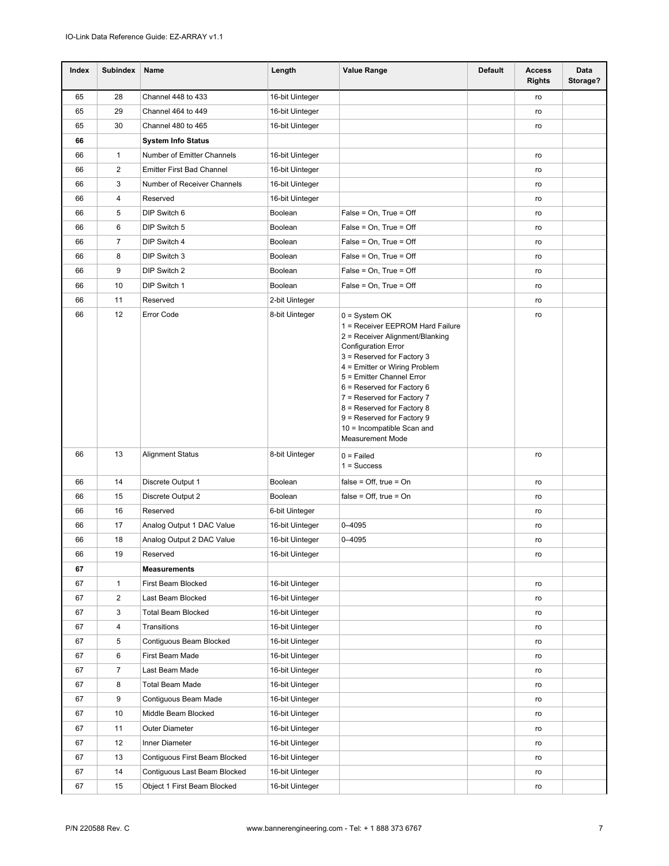| Index | <b>Subindex</b> | Name                             | Length          | <b>Value Range</b>                                                                                                                                                                                                                                                                                                                                                                              | <b>Default</b> | <b>Access</b><br><b>Rights</b> | Data<br>Storage? |
|-------|-----------------|----------------------------------|-----------------|-------------------------------------------------------------------------------------------------------------------------------------------------------------------------------------------------------------------------------------------------------------------------------------------------------------------------------------------------------------------------------------------------|----------------|--------------------------------|------------------|
| 65    | 28              | Channel 448 to 433               | 16-bit Uinteger |                                                                                                                                                                                                                                                                                                                                                                                                 |                | ro                             |                  |
| 65    | 29              | Channel 464 to 449               | 16-bit Uinteger |                                                                                                                                                                                                                                                                                                                                                                                                 |                | ro                             |                  |
| 65    | 30              | Channel 480 to 465               | 16-bit Uinteger |                                                                                                                                                                                                                                                                                                                                                                                                 |                | ro                             |                  |
| 66    |                 | <b>System Info Status</b>        |                 |                                                                                                                                                                                                                                                                                                                                                                                                 |                |                                |                  |
| 66    | 1               | Number of Emitter Channels       | 16-bit Uinteger |                                                                                                                                                                                                                                                                                                                                                                                                 |                | ro                             |                  |
| 66    | 2               | <b>Emitter First Bad Channel</b> | 16-bit Uinteger |                                                                                                                                                                                                                                                                                                                                                                                                 |                | ro                             |                  |
| 66    | 3               | Number of Receiver Channels      | 16-bit Uinteger |                                                                                                                                                                                                                                                                                                                                                                                                 |                | ro                             |                  |
| 66    | 4               | Reserved                         | 16-bit Uinteger |                                                                                                                                                                                                                                                                                                                                                                                                 |                | ro                             |                  |
| 66    | 5               | DIP Switch 6                     | Boolean         | False = On, True = Off                                                                                                                                                                                                                                                                                                                                                                          |                | ro                             |                  |
| 66    | 6               | DIP Switch 5                     | Boolean         | False = On, True = Off                                                                                                                                                                                                                                                                                                                                                                          |                | ro                             |                  |
| 66    | $\overline{7}$  | DIP Switch 4                     | Boolean         | False = On, True = Off                                                                                                                                                                                                                                                                                                                                                                          |                | ro                             |                  |
| 66    | 8               | DIP Switch 3                     | Boolean         | False = On, True = Off                                                                                                                                                                                                                                                                                                                                                                          |                | ro                             |                  |
| 66    | 9               | DIP Switch 2                     | Boolean         | False = On, True = Off                                                                                                                                                                                                                                                                                                                                                                          |                | ro                             |                  |
| 66    | 10              | DIP Switch 1                     | Boolean         | False = On, True = Off                                                                                                                                                                                                                                                                                                                                                                          |                | ro                             |                  |
| 66    | 11              | Reserved                         | 2-bit Uinteger  |                                                                                                                                                                                                                                                                                                                                                                                                 |                | ro                             |                  |
| 66    | 12              | Error Code                       | 8-bit Uinteger  | 0 = System OK<br>1 = Receiver EEPROM Hard Failure<br>2 = Receiver Alignment/Blanking<br><b>Configuration Error</b><br>3 = Reserved for Factory 3<br>4 = Emitter or Wiring Problem<br>5 = Emitter Channel Error<br>6 = Reserved for Factory 6<br>7 = Reserved for Factory 7<br>8 = Reserved for Factory 8<br>9 = Reserved for Factory 9<br>10 = Incompatible Scan and<br><b>Measurement Mode</b> |                | ro                             |                  |
| 66    | 13              | <b>Alignment Status</b>          | 8-bit Uinteger  | $0 =$ Failed<br>$1 = Success$                                                                                                                                                                                                                                                                                                                                                                   |                | ro                             |                  |
| 66    | 14              | Discrete Output 1                | Boolean         | $false = Off$ , true = On                                                                                                                                                                                                                                                                                                                                                                       |                | ro                             |                  |
| 66    | 15              | Discrete Output 2                | Boolean         | $false = Off$ , true = On                                                                                                                                                                                                                                                                                                                                                                       |                | ro                             |                  |
| 66    | 16              | Reserved                         | 6-bit Uinteger  |                                                                                                                                                                                                                                                                                                                                                                                                 |                | ro                             |                  |
| 66    | 17              | Analog Output 1 DAC Value        | 16-bit Uinteger | 0-4095                                                                                                                                                                                                                                                                                                                                                                                          |                | ro                             |                  |
| 66    | 18              | Analog Output 2 DAC Value        | 16-bit Uinteger | 0-4095                                                                                                                                                                                                                                                                                                                                                                                          |                | ro                             |                  |
| 66    | 19              | Reserved                         | 16-bit Uinteger |                                                                                                                                                                                                                                                                                                                                                                                                 |                | ro                             |                  |
| 67    |                 | <b>Measurements</b>              |                 |                                                                                                                                                                                                                                                                                                                                                                                                 |                |                                |                  |
| 67    | 1               | First Beam Blocked               | 16-bit Uinteger |                                                                                                                                                                                                                                                                                                                                                                                                 |                | ro                             |                  |
| 67    | $\overline{2}$  | Last Beam Blocked                | 16-bit Uinteger |                                                                                                                                                                                                                                                                                                                                                                                                 |                | ro                             |                  |
| 67    | 3               | <b>Total Beam Blocked</b>        | 16-bit Uinteger |                                                                                                                                                                                                                                                                                                                                                                                                 |                | ro                             |                  |
| 67    | 4               | Transitions                      | 16-bit Uinteger |                                                                                                                                                                                                                                                                                                                                                                                                 |                | ro                             |                  |
| 67    | 5               | Contiguous Beam Blocked          | 16-bit Uinteger |                                                                                                                                                                                                                                                                                                                                                                                                 |                | ro                             |                  |
| 67    | 6               | First Beam Made                  | 16-bit Uinteger |                                                                                                                                                                                                                                                                                                                                                                                                 |                | ro                             |                  |
| 67    | $\overline{7}$  | Last Beam Made                   | 16-bit Uinteger |                                                                                                                                                                                                                                                                                                                                                                                                 |                | ro                             |                  |
| 67    | 8               | <b>Total Beam Made</b>           | 16-bit Uinteger |                                                                                                                                                                                                                                                                                                                                                                                                 |                | ro                             |                  |
| 67    | 9               | Contiguous Beam Made             | 16-bit Uinteger |                                                                                                                                                                                                                                                                                                                                                                                                 |                | ro                             |                  |
| 67    | 10              | Middle Beam Blocked              | 16-bit Uinteger |                                                                                                                                                                                                                                                                                                                                                                                                 |                | ro                             |                  |
| 67    | 11              | Outer Diameter                   | 16-bit Uinteger |                                                                                                                                                                                                                                                                                                                                                                                                 |                | ro                             |                  |
| 67    | 12              | Inner Diameter                   | 16-bit Uinteger |                                                                                                                                                                                                                                                                                                                                                                                                 |                | ro                             |                  |
| 67    | 13              | Contiguous First Beam Blocked    | 16-bit Uinteger |                                                                                                                                                                                                                                                                                                                                                                                                 |                | ro                             |                  |
| 67    | 14              | Contiguous Last Beam Blocked     | 16-bit Uinteger |                                                                                                                                                                                                                                                                                                                                                                                                 |                | ro                             |                  |
| 67    | 15              | Object 1 First Beam Blocked      | 16-bit Uinteger |                                                                                                                                                                                                                                                                                                                                                                                                 |                | ro                             |                  |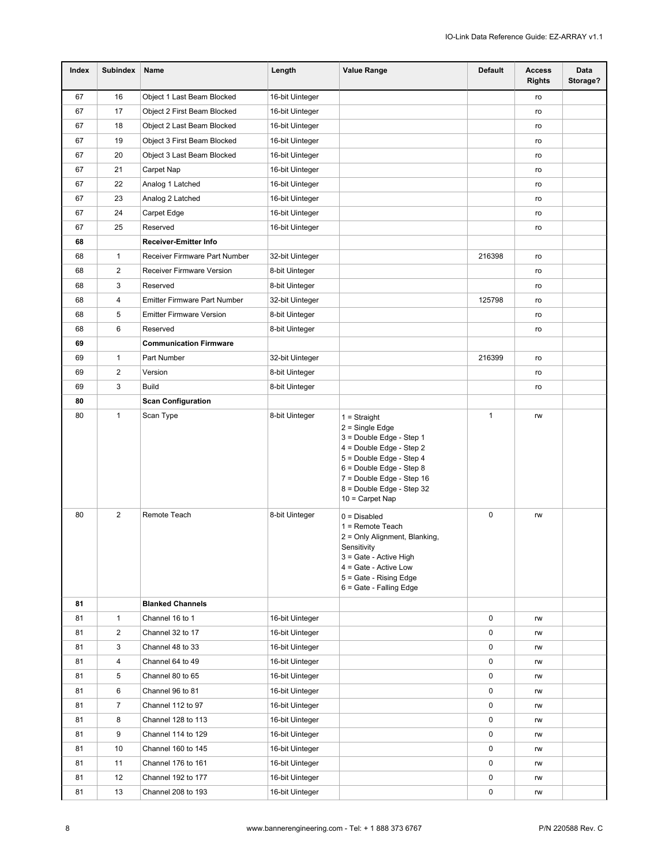| Index | <b>Subindex</b> | Name                                | Length          | <b>Value Range</b>                                                                                                                                                                                                                 | <b>Default</b> | <b>Access</b><br><b>Rights</b> | Data<br>Storage? |
|-------|-----------------|-------------------------------------|-----------------|------------------------------------------------------------------------------------------------------------------------------------------------------------------------------------------------------------------------------------|----------------|--------------------------------|------------------|
| 67    | 16              | Object 1 Last Beam Blocked          | 16-bit Uinteger |                                                                                                                                                                                                                                    |                | ro                             |                  |
| 67    | 17              | Object 2 First Beam Blocked         | 16-bit Uinteger |                                                                                                                                                                                                                                    |                | ro                             |                  |
| 67    | 18              | Object 2 Last Beam Blocked          | 16-bit Uinteger |                                                                                                                                                                                                                                    |                | ro                             |                  |
| 67    | 19              | Object 3 First Beam Blocked         | 16-bit Uinteger |                                                                                                                                                                                                                                    |                | ro                             |                  |
| 67    | 20              | Object 3 Last Beam Blocked          | 16-bit Uinteger |                                                                                                                                                                                                                                    |                | ro                             |                  |
| 67    | 21              | Carpet Nap                          | 16-bit Uinteger |                                                                                                                                                                                                                                    |                | ro                             |                  |
| 67    | 22              | Analog 1 Latched                    | 16-bit Uinteger |                                                                                                                                                                                                                                    |                | ro                             |                  |
| 67    | 23              | Analog 2 Latched                    | 16-bit Uinteger |                                                                                                                                                                                                                                    |                | ro                             |                  |
| 67    | 24              | Carpet Edge                         | 16-bit Uinteger |                                                                                                                                                                                                                                    |                | ro                             |                  |
| 67    | 25              | Reserved                            | 16-bit Uinteger |                                                                                                                                                                                                                                    |                | ro                             |                  |
| 68    |                 | Receiver-Emitter Info               |                 |                                                                                                                                                                                                                                    |                |                                |                  |
| 68    | 1               | Receiver Firmware Part Number       | 32-bit Uinteger |                                                                                                                                                                                                                                    | 216398         | ro                             |                  |
| 68    | 2               | Receiver Firmware Version           | 8-bit Uinteger  |                                                                                                                                                                                                                                    |                | ro                             |                  |
| 68    | 3               | Reserved                            | 8-bit Uinteger  |                                                                                                                                                                                                                                    |                | ro                             |                  |
| 68    | 4               | <b>Emitter Firmware Part Number</b> | 32-bit Uinteger |                                                                                                                                                                                                                                    | 125798         | ro                             |                  |
| 68    | 5               | <b>Emitter Firmware Version</b>     | 8-bit Uinteger  |                                                                                                                                                                                                                                    |                | ro                             |                  |
| 68    | 6               | Reserved                            | 8-bit Uinteger  |                                                                                                                                                                                                                                    |                | ro                             |                  |
| 69    |                 | <b>Communication Firmware</b>       |                 |                                                                                                                                                                                                                                    |                |                                |                  |
| 69    | 1               | Part Number                         | 32-bit Uinteger |                                                                                                                                                                                                                                    | 216399         | ro                             |                  |
| 69    | $\overline{2}$  | Version                             | 8-bit Uinteger  |                                                                                                                                                                                                                                    |                | ro                             |                  |
| 69    | 3               | <b>Build</b>                        | 8-bit Uinteger  |                                                                                                                                                                                                                                    |                | ro                             |                  |
| 80    |                 | <b>Scan Configuration</b>           |                 |                                                                                                                                                                                                                                    |                |                                |                  |
| 80    | 1               | Scan Type                           | 8-bit Uinteger  | $1 =$ Straight<br>$2 =$ Single Edge<br>3 = Double Edge - Step 1<br>4 = Double Edge - Step 2<br>5 = Double Edge - Step 4<br>6 = Double Edge - Step 8<br>7 = Double Edge - Step 16<br>8 = Double Edge - Step 32<br>$10 =$ Carpet Nap | 1              | rw                             |                  |
| 80    | $\overline{2}$  | Remote Teach                        | 8-bit Uinteger  | $0 = Disabled$<br>$1 =$ Remote Teach<br>2 = Only Alignment, Blanking,<br>Sensitivity<br>3 = Gate - Active High<br>4 = Gate - Active Low<br>5 = Gate - Rising Edge<br>6 = Gate - Falling Edge                                       | 0              | rw                             |                  |
| 81    |                 | <b>Blanked Channels</b>             |                 |                                                                                                                                                                                                                                    |                |                                |                  |
| 81    | 1               | Channel 16 to 1                     | 16-bit Uinteger |                                                                                                                                                                                                                                    | 0              | rw                             |                  |
| 81    | 2               | Channel 32 to 17                    | 16-bit Uinteger |                                                                                                                                                                                                                                    | 0              | rw                             |                  |
| 81    | 3               | Channel 48 to 33                    | 16-bit Uinteger |                                                                                                                                                                                                                                    | 0              | rw                             |                  |
| 81    | 4               | Channel 64 to 49                    | 16-bit Uinteger |                                                                                                                                                                                                                                    | 0              | rw                             |                  |
| 81    | 5               | Channel 80 to 65                    | 16-bit Uinteger |                                                                                                                                                                                                                                    | 0              | rw                             |                  |
| 81    | 6               | Channel 96 to 81                    | 16-bit Uinteger |                                                                                                                                                                                                                                    | 0              | rw                             |                  |
| 81    | $\overline{7}$  | Channel 112 to 97                   | 16-bit Uinteger |                                                                                                                                                                                                                                    | 0              | rw                             |                  |
| 81    | 8               | Channel 128 to 113                  | 16-bit Uinteger |                                                                                                                                                                                                                                    | 0              | rw                             |                  |
| 81    | 9               | Channel 114 to 129                  | 16-bit Uinteger |                                                                                                                                                                                                                                    | 0              | rw                             |                  |
| 81    | 10              | Channel 160 to 145                  | 16-bit Uinteger |                                                                                                                                                                                                                                    | 0              | rw                             |                  |
| 81    | 11              | Channel 176 to 161                  | 16-bit Uinteger |                                                                                                                                                                                                                                    | 0              | rw                             |                  |
| 81    | 12              | Channel 192 to 177                  | 16-bit Uinteger |                                                                                                                                                                                                                                    | 0              | rw                             |                  |
| 81    | 13              | Channel 208 to 193                  | 16-bit Uinteger |                                                                                                                                                                                                                                    | 0              | rw                             |                  |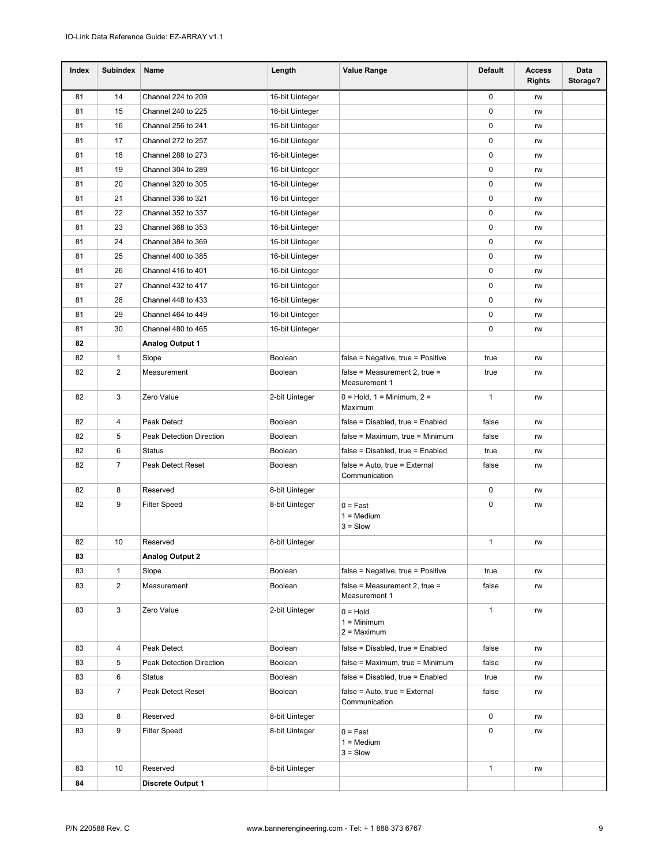| Index | <b>Subindex</b> | Name                     | Length          | <b>Value Range</b>                                    | <b>Default</b> | <b>Access</b><br><b>Rights</b> | Data<br>Storage? |
|-------|-----------------|--------------------------|-----------------|-------------------------------------------------------|----------------|--------------------------------|------------------|
| 81    | 14              | Channel 224 to 209       | 16-bit Uinteger |                                                       | $\mathbf 0$    | rw                             |                  |
| 81    | 15              | Channel 240 to 225       | 16-bit Uinteger |                                                       | 0              | rw                             |                  |
| 81    | 16              | Channel 256 to 241       | 16-bit Uinteger |                                                       | 0              | rw                             |                  |
| 81    | 17              | Channel 272 to 257       | 16-bit Uinteger |                                                       | $\mathbf 0$    | rw                             |                  |
| 81    | 18              | Channel 288 to 273       | 16-bit Uinteger |                                                       | $\mathbf 0$    | rw                             |                  |
| 81    | 19              | Channel 304 to 289       | 16-bit Uinteger |                                                       | 0              | rw                             |                  |
| 81    | 20              | Channel 320 to 305       | 16-bit Uinteger |                                                       | 0              | rw                             |                  |
| 81    | 21              | Channel 336 to 321       | 16-bit Uinteger |                                                       | 0              | rw                             |                  |
| 81    | 22              | Channel 352 to 337       | 16-bit Uinteger |                                                       | 0              | rw                             |                  |
| 81    | 23              | Channel 368 to 353       | 16-bit Uinteger |                                                       | 0              | rw                             |                  |
| 81    | 24              | Channel 384 to 369       | 16-bit Uinteger |                                                       | $\mathbf 0$    | rw                             |                  |
| 81    | 25              | Channel 400 to 385       | 16-bit Uinteger |                                                       | 0              | rw                             |                  |
| 81    | 26              | Channel 416 to 401       | 16-bit Uinteger |                                                       | 0              | rw                             |                  |
| 81    | 27              | Channel 432 to 417       | 16-bit Uinteger |                                                       | 0              | rw                             |                  |
| 81    | 28              | Channel 448 to 433       | 16-bit Uinteger |                                                       | $\mathbf 0$    | rw                             |                  |
| 81    | 29              | Channel 464 to 449       | 16-bit Uinteger |                                                       | 0              | rw                             |                  |
| 81    | 30              | Channel 480 to 465       | 16-bit Uinteger |                                                       | 0              | rw                             |                  |
| 82    |                 | <b>Analog Output 1</b>   |                 |                                                       |                |                                |                  |
| 82    | 1               | Slope                    | Boolean         | false = Negative, true = Positive                     | true           | rw                             |                  |
| 82    | 2               | Measurement              | Boolean         | false = Measurement 2, true =<br><b>Measurement 1</b> | true           | rw                             |                  |
| 82    | 3               | Zero Value               | 2-bit Uinteger  | $0 =$ Hold, $1 =$ Minimum, $2 =$<br>Maximum           | $\mathbf{1}$   | rw                             |                  |
| 82    | 4               | Peak Detect              | Boolean         | false = Disabled, true = Enabled                      | false          | rw                             |                  |
| 82    | 5               | Peak Detection Direction | Boolean         | false = Maximum, true = Minimum                       | false          | rw                             |                  |
| 82    | 6               | <b>Status</b>            | <b>Boolean</b>  | false = Disabled, true = Enabled                      | true           | rw                             |                  |
| 82    | $\overline{7}$  | Peak Detect Reset        | <b>Boolean</b>  | false = Auto, true = External<br>Communication        | false          | rw                             |                  |
| 82    | 8               | Reserved                 | 8-bit Uinteger  |                                                       | 0              | rw                             |                  |
| 82    | 9               | <b>Filter Speed</b>      | 8-bit Uinteger  | $0 = Fast$<br>$1 = \text{Median}$<br>$3 =$ Slow       | 0              | rw                             |                  |
| 82    | 10              | Reserved                 | 8-bit Uinteger  |                                                       | $\mathbf{1}$   | rw                             |                  |
| 83    |                 | <b>Analog Output 2</b>   |                 |                                                       |                |                                |                  |
| 83    | $\mathbf{1}$    | Slope                    | Boolean         | false = Negative, true = Positive                     | true           | rw                             |                  |
| 83    | $\overline{2}$  | Measurement              | Boolean         | false = Measurement 2, true =<br>Measurement 1        | false          | rw                             |                  |
| 83    | 3               | Zero Value               | 2-bit Uinteger  | $0 = Hold$<br>$1 =$ Minimum<br>$2 =$ Maximum          | $\mathbf{1}$   | rw                             |                  |
| 83    | 4               | Peak Detect              | Boolean         | false = Disabled, true = Enabled                      | false          | rw                             |                  |
| 83    | 5               | Peak Detection Direction | Boolean         | false = Maximum, true = Minimum                       | false          | rw                             |                  |
| 83    | 6               | Status                   | Boolean         | false = Disabled, true = Enabled                      | true           | rw                             |                  |
| 83    | $\overline{7}$  | Peak Detect Reset        | Boolean         | false = Auto, true = External<br>Communication        | false          | rw                             |                  |
| 83    | 8               | Reserved                 | 8-bit Uinteger  |                                                       | 0              | rw                             |                  |
| 83    | 9               | <b>Filter Speed</b>      | 8-bit Uinteger  | $0 = Fast$<br>$1 = \text{Median}$<br>$3 =$ Slow       | 0              | rw                             |                  |
| 83    | 10              | Reserved                 | 8-bit Uinteger  |                                                       | $\mathbf{1}$   | rw                             |                  |
| 84    |                 | <b>Discrete Output 1</b> |                 |                                                       |                |                                |                  |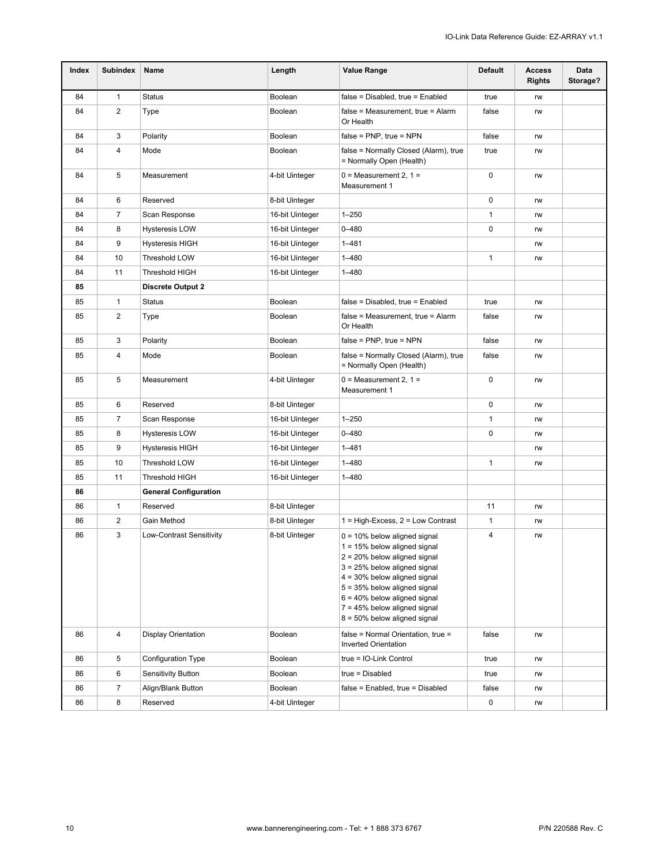| Index | <b>Subindex</b> | Name                         | Length          | <b>Value Range</b>                                                                                                                                                                                                                                                                                              | Default      | <b>Access</b><br><b>Rights</b> | Data<br>Storage? |
|-------|-----------------|------------------------------|-----------------|-----------------------------------------------------------------------------------------------------------------------------------------------------------------------------------------------------------------------------------------------------------------------------------------------------------------|--------------|--------------------------------|------------------|
| 84    | $\mathbf{1}$    | <b>Status</b>                | Boolean         | false = Disabled, true = Enabled                                                                                                                                                                                                                                                                                | true         | rw                             |                  |
| 84    | 2               | Type                         | Boolean         | false = Measurement, true = Alarm<br>Or Health                                                                                                                                                                                                                                                                  | false        | rw                             |                  |
| 84    | 3               | Polarity                     | Boolean         | $false = PNP$ , true = NPN                                                                                                                                                                                                                                                                                      | false        | rw                             |                  |
| 84    | 4               | Mode                         | Boolean         | false = Normally Closed (Alarm), true<br>= Normally Open (Health)                                                                                                                                                                                                                                               | true         | rw                             |                  |
| 84    | 5               | Measurement                  | 4-bit Uinteger  | $0 = Measurement 2, 1 =$<br>Measurement 1                                                                                                                                                                                                                                                                       |              | rw                             |                  |
| 84    | 6               | Reserved                     | 8-bit Uinteger  |                                                                                                                                                                                                                                                                                                                 | 0            | rw                             |                  |
| 84    | $\overline{7}$  | Scan Response                | 16-bit Uinteger | $1 - 250$                                                                                                                                                                                                                                                                                                       | 1            | rw                             |                  |
| 84    | 8               | Hysteresis LOW               | 16-bit Uinteger | $0 - 480$                                                                                                                                                                                                                                                                                                       | 0            | rw                             |                  |
| 84    | 9               | Hysteresis HIGH              | 16-bit Uinteger | $1 - 481$                                                                                                                                                                                                                                                                                                       |              | rw                             |                  |
| 84    | 10              | Threshold LOW                | 16-bit Uinteger | $1 - 480$                                                                                                                                                                                                                                                                                                       | 1            | rw                             |                  |
| 84    | 11              | Threshold HIGH               | 16-bit Uinteger | $1 - 480$                                                                                                                                                                                                                                                                                                       |              |                                |                  |
| 85    |                 | <b>Discrete Output 2</b>     |                 |                                                                                                                                                                                                                                                                                                                 |              |                                |                  |
| 85    | 1               | <b>Status</b>                | Boolean         | $false = Disabeled$ , true = Enabled                                                                                                                                                                                                                                                                            | true         | rw                             |                  |
| 85    | 2               | Type                         | Boolean         | false = Measurement, true = Alarm<br>Or Health                                                                                                                                                                                                                                                                  | false        | rw                             |                  |
| 85    | 3               | Polarity                     | Boolean         | $false = PNP$ , true = NPN                                                                                                                                                                                                                                                                                      | false        | rw                             |                  |
| 85    | 4               | Mode                         | Boolean         | false = Normally Closed (Alarm), true<br>= Normally Open (Health)                                                                                                                                                                                                                                               | false        | rw                             |                  |
| 85    | 5               | Measurement                  | 4-bit Uinteger  | $0 = Measurement 2, 1 =$<br>Measurement 1                                                                                                                                                                                                                                                                       | 0            | rw                             |                  |
| 85    | 6               | Reserved                     | 8-bit Uinteger  |                                                                                                                                                                                                                                                                                                                 | 0            | rw                             |                  |
| 85    | $\overline{7}$  | Scan Response                | 16-bit Uinteger | $1 - 250$                                                                                                                                                                                                                                                                                                       | 1            | rw                             |                  |
| 85    | 8               | <b>Hysteresis LOW</b>        | 16-bit Uinteger | $0 - 480$                                                                                                                                                                                                                                                                                                       | 0            | rw                             |                  |
| 85    | 9               | <b>Hysteresis HIGH</b>       | 16-bit Uinteger | $1 - 481$                                                                                                                                                                                                                                                                                                       |              | rw                             |                  |
| 85    | 10              | Threshold LOW                | 16-bit Uinteger | $1 - 480$                                                                                                                                                                                                                                                                                                       | 1            | rw                             |                  |
| 85    | 11              | Threshold HIGH               | 16-bit Uinteger | $1 - 480$                                                                                                                                                                                                                                                                                                       |              |                                |                  |
| 86    |                 | <b>General Configuration</b> |                 |                                                                                                                                                                                                                                                                                                                 |              |                                |                  |
| 86    | $\mathbf{1}$    | Reserved                     | 8-bit Uinteger  |                                                                                                                                                                                                                                                                                                                 | 11           | rw                             |                  |
| 86    | $\overline{c}$  | Gain Method                  | 8-bit Uinteger  | $1 = High-Excess, 2 = Low Contract$                                                                                                                                                                                                                                                                             | $\mathbf{1}$ | rw                             |                  |
| 86    | 3               | Low-Contrast Sensitivity     | 8-bit Uinteger  | $0 = 10\%$ below aligned signal<br>1 = 15% below aligned signal<br>$2 = 20\%$ below aligned signal<br>$3 = 25%$ below aligned signal<br>$4 = 30\%$ below aligned signal<br>5 = 35% below aligned signal<br>$6 = 40\%$ below aligned signal<br>$7 = 45%$ below aligned signal<br>$8 = 50\%$ below aligned signal | 4            | rw                             |                  |
| 86    | 4               | Display Orientation          | <b>Boolean</b>  | false = Normal Orientation, true =<br>false<br>rw<br><b>Inverted Orientation</b>                                                                                                                                                                                                                                |              |                                |                  |
| 86    | 5               | Configuration Type           | Boolean         | true = IO-Link Control                                                                                                                                                                                                                                                                                          | true         | rw                             |                  |
| 86    | 6               | <b>Sensitivity Button</b>    | Boolean         | true = Disabled<br>true                                                                                                                                                                                                                                                                                         |              | rw                             |                  |
| 86    | $\overline{7}$  | Align/Blank Button           | Boolean         | false = Enabled, true = Disabled<br>false                                                                                                                                                                                                                                                                       |              | rw                             |                  |
| 86    | 8               | Reserved                     | 4-bit Uinteger  |                                                                                                                                                                                                                                                                                                                 | 0            | rw                             |                  |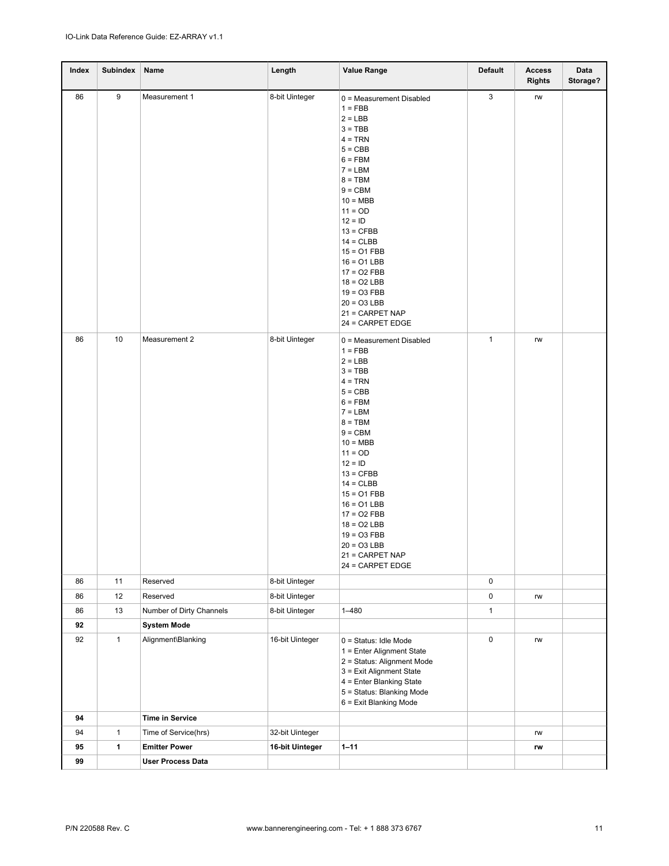| Index | <b>Subindex</b> | Name                     | Length          | <b>Value Range</b>                                                                                                                                                                                                                                                                                                                                               | <b>Default</b> | <b>Access</b><br><b>Rights</b> | Data<br>Storage? |
|-------|-----------------|--------------------------|-----------------|------------------------------------------------------------------------------------------------------------------------------------------------------------------------------------------------------------------------------------------------------------------------------------------------------------------------------------------------------------------|----------------|--------------------------------|------------------|
| 86    | 9               | Measurement 1            | 8-bit Uinteger  | 0 = Measurement Disabled<br>$1 = FBB$<br>$2 = LBB$<br>$3 = TBB$<br>$4 = TRN$<br>$5 = CBB$<br>$6 = FBM$<br>$7 = LBM$<br>$8 = TBM$<br>$9 = CBM$<br>$10 = MBB$<br>$11 = OD$<br>$12 = 1D$<br>$13 = CFBB$<br>$14 = CLBB$<br>$15 = 01$ FBB<br>$16 = 01$ LBB<br>$17 = 02$ FBB<br>$18 = 02$ LBB<br>$19 = 03$ FBB<br>$20 = 03$ LBB<br>21 = CARPET NAP<br>24 = CARPET EDGE | 3              | rw                             |                  |
| 86    | 10              | Measurement 2            | 8-bit Uinteger  | 0 = Measurement Disabled<br>$1 = FBB$<br>$2 = LBB$<br>$3 = TBB$<br>$4 = TRN$<br>$5 = CBB$<br>$6 = FBM$<br>$7 = LBM$<br>$8 = TBM$<br>$9 = CBM$<br>$10 = MBB$<br>$11 = OD$<br>$12 = 1D$<br>$13 = CFBB$<br>$14 = CLBB$<br>$15 = 01$ FBB<br>$16 = 01$ LBB<br>$17 = 02$ FBB<br>$18 = 02$ LBB<br>$19 = 03$ FBB<br>$20 = 03$ LBB<br>21 = CARPET NAP<br>24 = CARPET EDGE | $\mathbf{1}$   | rw                             |                  |
| 86    | 11              | Reserved                 | 8-bit Uinteger  |                                                                                                                                                                                                                                                                                                                                                                  | 0              |                                |                  |
| 86    | 12              | Reserved                 | 8-bit Uinteger  |                                                                                                                                                                                                                                                                                                                                                                  | 0              | rw                             |                  |
| 86    | 13              | Number of Dirty Channels | 8-bit Uinteger  | $1 - 480$                                                                                                                                                                                                                                                                                                                                                        | $\mathbf{1}$   |                                |                  |
| 92    |                 | <b>System Mode</b>       |                 |                                                                                                                                                                                                                                                                                                                                                                  |                |                                |                  |
| 92    | $\mathbf{1}$    | Alignment\Blanking       | 16-bit Uinteger | $0 =$ Status: Idle Mode<br>1 = Enter Alignment State<br>2 = Status: Alignment Mode<br>3 = Exit Alignment State<br>4 = Enter Blanking State<br>5 = Status: Blanking Mode<br>6 = Exit Blanking Mode                                                                                                                                                                | $\pmb{0}$      | rw                             |                  |
| 94    |                 | <b>Time in Service</b>   |                 |                                                                                                                                                                                                                                                                                                                                                                  |                |                                |                  |
| 94    | $\mathbf{1}$    | Time of Service(hrs)     | 32-bit Uinteger |                                                                                                                                                                                                                                                                                                                                                                  |                | rw                             |                  |
| 95    | $\mathbf{1}$    | <b>Emitter Power</b>     | 16-bit Uinteger | $1 - 11$                                                                                                                                                                                                                                                                                                                                                         |                | rw                             |                  |
| 99    |                 | <b>User Process Data</b> |                 |                                                                                                                                                                                                                                                                                                                                                                  |                |                                |                  |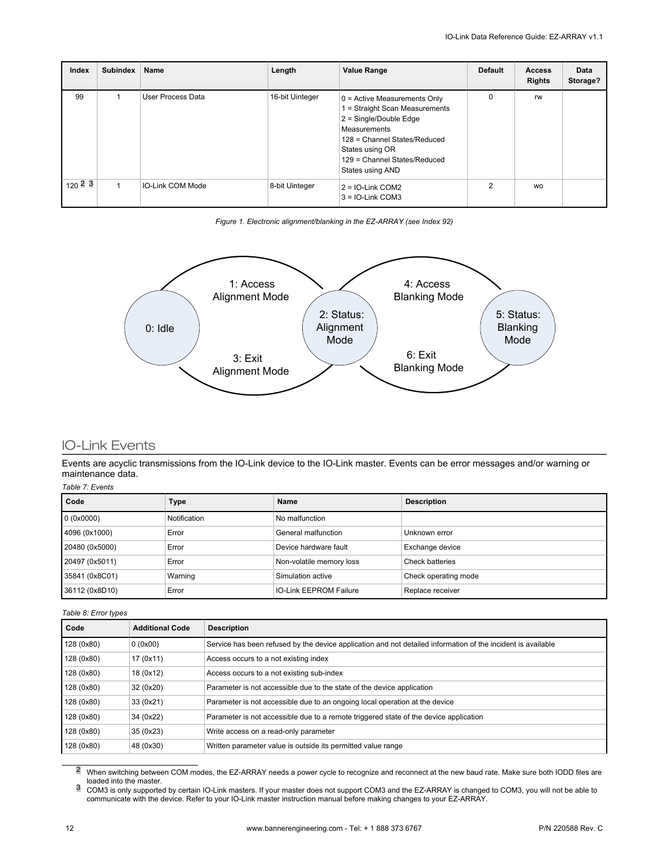| Index       | <b>Subindex</b> | <b>Name</b>             | Length          | <b>Value Range</b>                                                                                                                                                                                                  | <b>Default</b> | <b>Access</b><br><b>Rights</b> | <b>Data</b><br>Storage? |
|-------------|-----------------|-------------------------|-----------------|---------------------------------------------------------------------------------------------------------------------------------------------------------------------------------------------------------------------|----------------|--------------------------------|-------------------------|
| 99          |                 | User Process Data       | 16-bit Uinteger | $0 =$ Active Measurements Only<br>1 = Straight Scan Measurements<br>$2 =$ Single/Double Edge<br>Measurements<br>128 = Channel States/Reduced<br>States using OR<br>129 = Channel States/Reduced<br>States using AND |                | <b>rw</b>                      |                         |
| $120^{2}$ 3 |                 | <b>IO-Link COM Mode</b> | 8-bit Uinteger  | $2 = 10$ -Link COM2<br>$3 = 10$ -Link COM3                                                                                                                                                                          | 2              | <b>WO</b>                      |                         |

*Figure 1. Electronic alignment/blanking in the EZ-ARRAY (see Index 92)*



### IO-Link Events

Events are acyclic transmissions from the IO-Link device to the IO-Link master. Events can be error messages and/or warning or maintenance data.

#### *Table 7: Events*

| Code           | Type         | Name                          | <b>Description</b>   |
|----------------|--------------|-------------------------------|----------------------|
| 0(0x0000)      | Notification | No malfunction                |                      |
| 4096 (0x1000)  | Error        | General malfunction           | Unknown error        |
| 20480 (0x5000) | Error        | Device hardware fault         | Exchange device      |
| 20497 (0x5011) | Error        | Non-volatile memory loss      | Check batteries      |
| 35841 (0x8C01) | Warning      | Simulation active             | Check operating mode |
| 36112 (0x8D10) | Error        | <b>IO-Link EEPROM Failure</b> | Replace receiver     |

#### *Table 8: Error types*

| Code       | <b>Additional Code</b> | <b>Description</b>                                                                                           |
|------------|------------------------|--------------------------------------------------------------------------------------------------------------|
| 128 (0x80) | 0(0x00)                | Service has been refused by the device application and not detailed information of the incident is available |
| 128 (0x80) | 17 (0x11)              | Access occurs to a not existing index                                                                        |
| 128 (0x80) | 18 (0x12)              | Access occurs to a not existing sub-index                                                                    |
| 128 (0x80) | 32 (0x20)              | Parameter is not accessible due to the state of the device application                                       |
| 128 (0x80) | 33 (0x21)              | Parameter is not accessible due to an ongoing local operation at the device                                  |
| 128 (0x80) | 34 (0x22)              | Parameter is not accessible due to a remote triggered state of the device application                        |
| 128 (0x80) | 35 (0x23)              | Write access on a read-only parameter                                                                        |
| 128 (0x80) | 48 (0x30)              | Written parameter value is outside its permitted value range                                                 |

<sup>2</sup> When switching between COM modes, the EZ-ARRAY needs a power cycle to recognize and reconnect at the new baud rate. Make sure both IODD files are loaded into the master.<br><sup>3</sup> COM3 is only supported by certain IO-Link masters. If your master does not support COM3 and the EZ-ARRAY is changed to COM3, you will not be able to

communicate with the device. Refer to your IO-Link master instruction manual before making changes to your EZ-ARRAY.